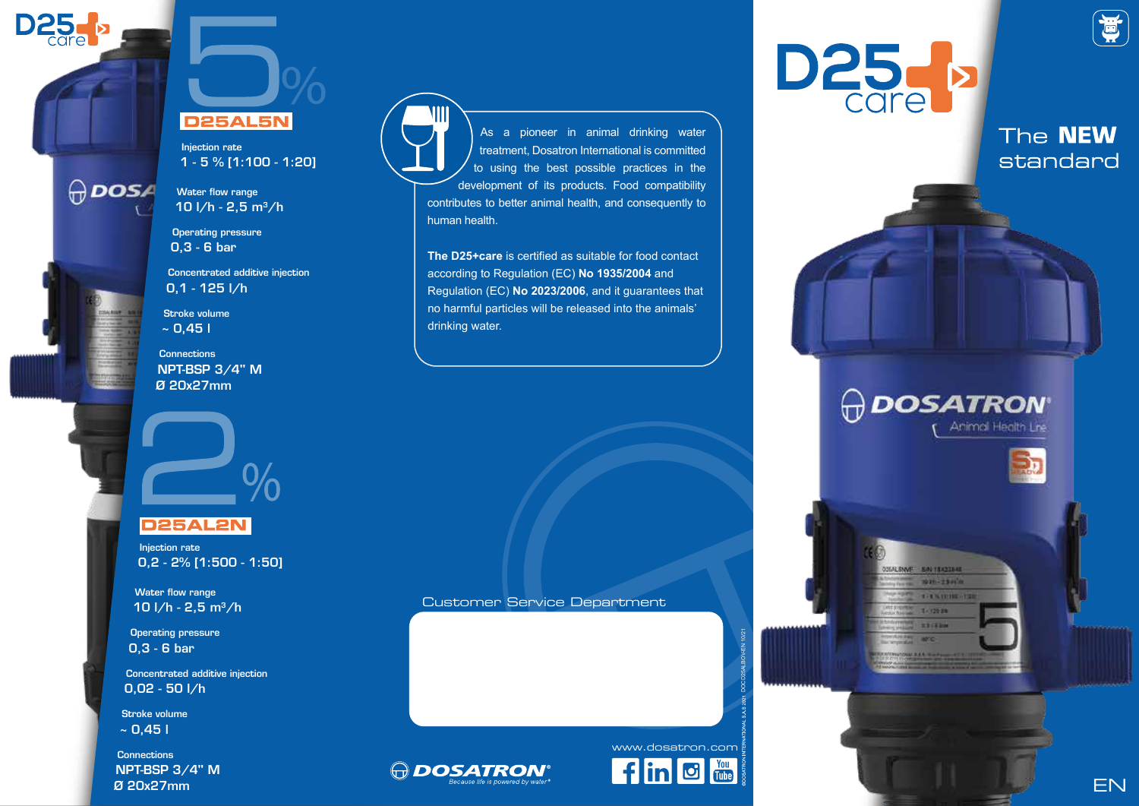

**ODOSA** 

# **D25AL5N**

Injection rate 1 - 5 % [1:100 - 1:20]

Water flow range 10 l/h - 2,5 m3/h

Operating pressure 0,3 - 6 bar

Concentrated additive injection 0,1 - 125 l/h

Stroke volume  $\sim$  0,45 l

**Connections** NPT-BSP 3/4'' M Ø 20x27mm



# **D25AL2N**

Injection rate 0,2 - 2% [1:500 - 1:50]

Water flow range 10  $1/h - 2.5$  m<sup>3</sup>/h

Operating pressure 0,3 - 6 bar

Concentrated additive injection 0,02 - 50 l/h

Stroke volume  $~0.451$ 

**Connections** NPT-BSP 3/4'' M Ø 20x27mm



As a pioneer in animal drinking water treatment, Dosatron International is committed to using the best possible practices in the development of its products. Food compatibility contributes to better animal health, and consequently to human health.

**The D25+care** is certified as suitable for food contact according to Regulation (EC) **No 1935/2004** and Regulation (EC) **No 2023/2006**, and it guarantees that no harmful particles will be released into the animals' drinking water.

Customer Service Department





DOCD25ALBOV-EN 10/21





The **NEW** standard





EN